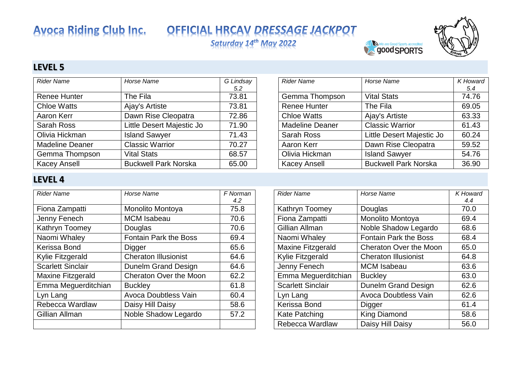# **Avoca Riding Club Inc.**

## OFFICIAL HRCAV DRESSAGE JACKPOT

Saturday 14<sup>th</sup> May 2022





### **LEVEL 5**

| <b>Rider Name</b>      | Horse Name                  | G Lindsay | <b>Rider Name</b>      | Horse Name                  | K Howa |
|------------------------|-----------------------------|-----------|------------------------|-----------------------------|--------|
|                        |                             | 5.2       |                        |                             | 5.4    |
| <b>Renee Hunter</b>    | The Fila                    | 73.81     | Gemma Thompson         | <b>Vital Stats</b>          | 74.76  |
| <b>Chloe Watts</b>     | Ajay's Artiste              | 73.81     | <b>Renee Hunter</b>    | The Fila                    | 69.05  |
| Aaron Kerr             | Dawn Rise Cleopatra         | 72.86     | <b>Chloe Watts</b>     | Ajay's Artiste              | 63.33  |
| <b>Sarah Ross</b>      | Little Desert Majestic Jo   | 71.90     | <b>Madeline Deaner</b> | <b>Classic Warrior</b>      | 61.43  |
| Olivia Hickman         | <b>Island Sawyer</b>        | 71.43     | <b>Sarah Ross</b>      | Little Desert Majestic Jo   | 60.24  |
| <b>Madeline Deaner</b> | <b>Classic Warrior</b>      | 70.27     | Aaron Kerr             | Dawn Rise Cleopatra         | 59.52  |
| Gemma Thompson         | <b>Vital Stats</b>          | 68.57     | Olivia Hickman         | <b>Island Sawyer</b>        | 54.76  |
| <b>Kacey Ansell</b>    | <b>Buckwell Park Norska</b> | 65.00     | <b>Kacey Ansell</b>    | <b>Buckwell Park Norska</b> | 36.90  |

| <b>Rider Name</b>      | Horse Name                  | K Howard |
|------------------------|-----------------------------|----------|
|                        |                             | 5.4      |
| Gemma Thompson         | <b>Vital Stats</b>          | 74.76    |
| <b>Renee Hunter</b>    | The Fila                    | 69.05    |
| <b>Chloe Watts</b>     | Ajay's Artiste              | 63.33    |
| <b>Madeline Deaner</b> | <b>Classic Warrior</b>      | 61.43    |
| <b>Sarah Ross</b>      | Little Desert Majestic Jo   | 60.24    |
| Aaron Kerr             | Dawn Rise Cleopatra         | 59.52    |
| Olivia Hickman         | <b>Island Sawyer</b>        | 54.76    |
| <b>Kacey Ansell</b>    | <b>Buckwell Park Norska</b> | 36.90    |

#### **LEVEL 4**

| <b>Rider Name</b>        | Horse Name                  | F Norman | <b>Rider Name</b>        | Horse Name                    | <b>K</b> Howa |
|--------------------------|-----------------------------|----------|--------------------------|-------------------------------|---------------|
|                          |                             | 4.2      |                          |                               | 4.4           |
| Fiona Zampatti           | <b>Monolito Montoya</b>     | 75.8     | Kathryn Toomey           | <b>Douglas</b>                | 70.0          |
| Jenny Fenech             | <b>MCM</b> Isabeau          | 70.6     | Fiona Zampatti           | Monolito Montoya              | 69.4          |
| Kathryn Toomey           | Douglas                     | 70.6     | Gillian Allman           | Noble Shadow Legardo          | 68.6          |
| Naomi Whaley             | Fontain Park the Boss       | 69.4     | Naomi Whaley             | <b>Fontain Park the Boss</b>  | 68.4          |
| Kerissa Bond             | Digger                      | 65.6     | Maxine Fitzgerald        | <b>Cheraton Over the Moon</b> | 65.0          |
| Kylie Fitzgerald         | <b>Cheraton Illusionist</b> | 64.6     | Kylie Fitzgerald         | <b>Cheraton Illusionist</b>   | 64.8          |
| <b>Scarlett Sinclair</b> | Dunelm Grand Design         | 64.6     | Jenny Fenech             | <b>MCM</b> Isabeau            | 63.6          |
| Maxine Fitzgerald        | Cheraton Over the Moon      | 62.2     | Emma Meguerditchian      | <b>Buckley</b>                | 63.0          |
| Emma Meguerditchian      | <b>Buckley</b>              | 61.8     | <b>Scarlett Sinclair</b> | <b>Dunelm Grand Design</b>    | 62.6          |
| Lyn Lang                 | <b>Avoca Doubtless Vain</b> | 60.4     | Lyn Lang                 | <b>Avoca Doubtless Vain</b>   | 62.6          |
| Rebecca Wardlaw          | Daisy Hill Daisy            | 58.6     | Kerissa Bond             | Digger                        | 61.4          |
| Gillian Allman           | Noble Shadow Legardo        | 57.2     | Kate Patching            | <b>King Diamond</b>           | 58.6          |
|                          |                             |          | Rebecca Wardlaw          | Daisy Hill Daisy              | 56.0          |
|                          |                             |          |                          |                               |               |

| <b>Rider Name</b>        | Horse Name                    | <b>K</b> Howard |
|--------------------------|-------------------------------|-----------------|
|                          |                               | 4.4             |
| Kathryn Toomey           | Douglas                       | 70.0            |
| Fiona Zampatti           | Monolito Montoya              | 69.4            |
| Gillian Allman           | Noble Shadow Legardo          | 68.6            |
| Naomi Whaley             | <b>Fontain Park the Boss</b>  | 68.4            |
| <b>Maxine Fitzgerald</b> | <b>Cheraton Over the Moon</b> | 65.0            |
| Kylie Fitzgerald         | <b>Cheraton Illusionist</b>   | 64.8            |
| Jenny Fenech             | <b>MCM</b> Isabeau            | 63.6            |
| Emma Meguerditchian      | <b>Buckley</b>                | 63.0            |
| <b>Scarlett Sinclair</b> | <b>Dunelm Grand Design</b>    | 62.6            |
| Lyn Lang                 | <b>Avoca Doubtless Vain</b>   | 62.6            |
| Kerissa Bond             | Digger                        | 61.4            |
| Kate Patching            | <b>King Diamond</b>           | 58.6            |
| Rebecca Wardlaw          | Daisy Hill Daisy              | 56.0            |